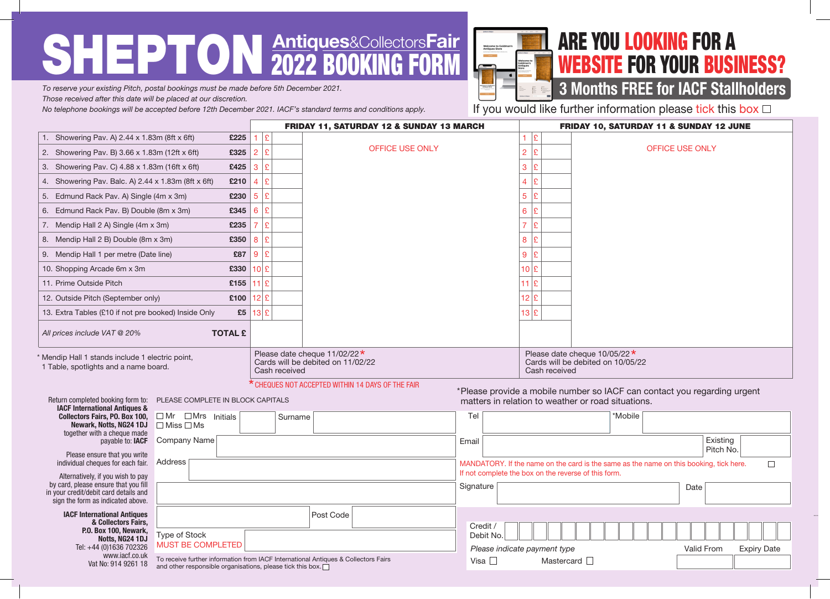# SHEPTON **Antiques&CollectorsFair**



## ARE YOU LOOKING FOR A WEBSITE FOR YOUR BUSINESS?

### 3 Months FREE for IACF Stallholders

*To reserve your existing Pitch, postal bookings must be made before 5th December 2021. Those received after this date will be placed at our discretion.* 

*No telephone bookings will be accepted before 12th December 2021. IACF's standard terms and conditions apply.*

If you would like further information please tick this box  $\Box$ 

|                                                                                                                                                         |                                                                                                                                                                             | <b>FRIDAY 11, SATURDAY 12 &amp; SUNDAY 13 MARCH</b> |               |                                                                                    |           | FRIDAY 10, SATURDAY 11 & SUNDAY 12 JUNE                                                                                        |                                                                                                                                                |  |         |                        |                       |                    |
|---------------------------------------------------------------------------------------------------------------------------------------------------------|-----------------------------------------------------------------------------------------------------------------------------------------------------------------------------|-----------------------------------------------------|---------------|------------------------------------------------------------------------------------|-----------|--------------------------------------------------------------------------------------------------------------------------------|------------------------------------------------------------------------------------------------------------------------------------------------|--|---------|------------------------|-----------------------|--------------------|
| 1. Showering Pav. A) 2.44 x 1.83m (8ft x 6ft)<br>£225                                                                                                   |                                                                                                                                                                             |                                                     | $\mathbf{E}$  |                                                                                    |           |                                                                                                                                | $1$ $E$                                                                                                                                        |  |         |                        |                       |                    |
| 2. Showering Pav. B) 3.66 x 1.83m (12ft x 6ft)<br>£325                                                                                                  |                                                                                                                                                                             | E<br>$\overline{2}$                                 |               | <b>OFFICE USE ONLY</b>                                                             |           |                                                                                                                                | $\overline{2}$<br>£                                                                                                                            |  |         | <b>OFFICE USE ONLY</b> |                       |                    |
| £425<br>3. Showering Pav. C) 4.88 x 1.83m (16ft x 6ft)                                                                                                  |                                                                                                                                                                             | £<br>3                                              |               |                                                                                    |           |                                                                                                                                | 3<br>£                                                                                                                                         |  |         |                        |                       |                    |
| £210<br>4. Showering Pav. Balc. A) 2.44 x 1.83m (8ft x 6ft)                                                                                             |                                                                                                                                                                             | £<br>4                                              |               |                                                                                    |           |                                                                                                                                | $\overline{4}$<br>£                                                                                                                            |  |         |                        |                       |                    |
| £230<br>5. Edmund Rack Pav. A) Single (4m x 3m)                                                                                                         |                                                                                                                                                                             | £<br>5                                              |               |                                                                                    |           |                                                                                                                                | 5 <sup>1</sup><br>£                                                                                                                            |  |         |                        |                       |                    |
| £345<br>6. Edmund Rack Pav. B) Double (8m x 3m)                                                                                                         |                                                                                                                                                                             | £<br>6                                              |               |                                                                                    |           |                                                                                                                                | 6 <sup>1</sup><br>£                                                                                                                            |  |         |                        |                       |                    |
| 7. Mendip Hall 2 A) Single (4m x 3m)<br>£235                                                                                                            |                                                                                                                                                                             | £<br>$\overline{7}$                                 |               |                                                                                    |           |                                                                                                                                | $\overline{7}$<br>ç                                                                                                                            |  |         |                        |                       |                    |
| 8. Mendip Hall 2 B) Double (8m x 3m)<br>£350                                                                                                            |                                                                                                                                                                             | $\vert \mathfrak{L} \vert$<br>8                     |               |                                                                                    |           |                                                                                                                                | 8<br>£                                                                                                                                         |  |         |                        |                       |                    |
| £87<br>9. Mendip Hall 1 per metre (Date line)                                                                                                           |                                                                                                                                                                             | £<br>9                                              |               |                                                                                    |           |                                                                                                                                | 9<br>£                                                                                                                                         |  |         |                        |                       |                    |
| £330<br>10. Shopping Arcade 6m x 3m                                                                                                                     |                                                                                                                                                                             | 10 £                                                |               |                                                                                    |           |                                                                                                                                | $10$ $\mathrm{E}$                                                                                                                              |  |         |                        |                       |                    |
| 11. Prime Outside Pitch<br>£155                                                                                                                         |                                                                                                                                                                             | 11 $E$                                              |               |                                                                                    |           |                                                                                                                                | $11$ $\mathsf{E}$                                                                                                                              |  |         |                        |                       |                    |
| £100<br>12. Outside Pitch (September only)                                                                                                              |                                                                                                                                                                             |                                                     | $12$ £        |                                                                                    |           |                                                                                                                                | $12$ $E$                                                                                                                                       |  |         |                        |                       |                    |
| £5<br>13. Extra Tables (£10 if not pre booked) Inside Only                                                                                              |                                                                                                                                                                             |                                                     | $13$ £        |                                                                                    |           |                                                                                                                                | $13$ $E$                                                                                                                                       |  |         |                        |                       |                    |
| <b>TOTAL £</b><br>All prices include VAT @ 20%                                                                                                          |                                                                                                                                                                             |                                                     |               |                                                                                    |           |                                                                                                                                |                                                                                                                                                |  |         |                        |                       |                    |
| Mendip Hall 1 stands include 1 electric point,<br>1 Table, spotlights and a name board.                                                                 |                                                                                                                                                                             |                                                     | Cash received | Please date cheque 11/02/22 <sup>*</sup><br>Cards will be debited on 11/02/22      |           |                                                                                                                                | Please date cheque $10/05/22 \star$<br>Cards will be debited on 10/05/22<br>Cash received                                                      |  |         |                        |                       |                    |
| Return completed booking form to:<br><b>IACF International Antiques &amp;</b>                                                                           | PLEASE COMPLETE IN BLOCK CAPITALS                                                                                                                                           | * CHEQUES NOT ACCEPTED WITHIN 14 DAYS OF THE FAIR   |               |                                                                                    |           | *Please provide a mobile number so IACF can contact you regarding urgent<br>matters in relation to weather or road situations. |                                                                                                                                                |  |         |                        |                       |                    |
| <b>Collectors Fairs, PO. Box 100,</b><br>Newark, Notts, NG24 1DJ<br>together with a cheque made                                                         | $\Box$ Mr $\Box$ Mrs Initials<br>$\Box$ Miss $\Box$ Ms                                                                                                                      |                                                     | Surname       |                                                                                    | Tel       |                                                                                                                                |                                                                                                                                                |  | *Mobile |                        |                       |                    |
| payable to: IACF<br>Please ensure that you write                                                                                                        | Company Name                                                                                                                                                                |                                                     |               |                                                                                    | Email     |                                                                                                                                |                                                                                                                                                |  |         |                        | Existing<br>Pitch No. |                    |
| individual cheques for each fair.                                                                                                                       | Address                                                                                                                                                                     |                                                     |               |                                                                                    |           |                                                                                                                                | MANDATORY. If the name on the card is the same as the name on this booking, tick here.<br>If not complete the box on the reverse of this form. |  |         |                        |                       | $\Box$             |
| Alternatively, if you wish to pay<br>by card, please ensure that you fill<br>in your credit/debit card details and<br>sign the form as indicated above. |                                                                                                                                                                             |                                                     |               |                                                                                    | Signature |                                                                                                                                |                                                                                                                                                |  |         | Date                   |                       |                    |
| <b>IACF International Antiques</b><br>& Collectors Fairs,<br>P.O. Box 100, Newark,                                                                      | Post Code                                                                                                                                                                   |                                                     |               |                                                                                    | Credit /  | Debit No.                                                                                                                      |                                                                                                                                                |  |         |                        |                       |                    |
| Notts, NG24 1DJ                                                                                                                                         | Type of Stock<br><b>MUST BE COMPLETED</b><br>Tel: +44 (0)1636 702326<br>www.jacf.co.uk<br>Vat No: 914 9261 18<br>and other responsible organisations, please tick this box. |                                                     |               | To receive further information from IACF International Antiques & Collectors Fairs |           |                                                                                                                                | Please indicate payment type<br>Mastercard <sup>1</sup>                                                                                        |  |         | Valid From             |                       | <b>Expiry Date</b> |
|                                                                                                                                                         |                                                                                                                                                                             |                                                     |               |                                                                                    |           |                                                                                                                                |                                                                                                                                                |  |         |                        |                       |                    |